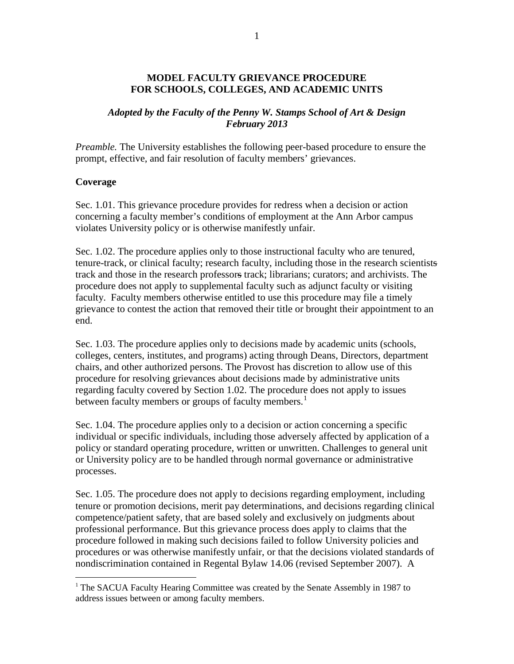### **MODEL FACULTY GRIEVANCE PROCEDURE FOR SCHOOLS, COLLEGES, AND ACADEMIC UNITS**

## *Adopted by the Faculty of the Penny W. Stamps School of Art & Design February 2013*

*Preamble*. The University establishes the following peer-based procedure to ensure the prompt, effective, and fair resolution of faculty members' grievances.

### **Coverage**

Sec. 1.01. This grievance procedure provides for redress when a decision or action concerning a faculty member's conditions of employment at the Ann Arbor campus violates University policy or is otherwise manifestly unfair.

Sec. 1.02. The procedure applies only to those instructional faculty who are tenured, tenure-track, or clinical faculty; research faculty, including those in the research scientists track and those in the research professors track; librarians; curators; and archivists. The procedure does not apply to supplemental faculty such as adjunct faculty or visiting faculty. Faculty members otherwise entitled to use this procedure may file a timely grievance to contest the action that removed their title or brought their appointment to an end.

Sec. 1.03. The procedure applies only to decisions made by academic units (schools, colleges, centers, institutes, and programs) acting through Deans, Directors, department chairs, and other authorized persons. The Provost has discretion to allow use of this procedure for resolving grievances about decisions made by administrative units regarding faculty covered by Section 1.02. The procedure does not apply to issues between faculty members or groups of faculty members.<sup>[1](#page-0-0)</sup>

Sec. 1.04. The procedure applies only to a decision or action concerning a specific individual or specific individuals, including those adversely affected by application of a policy or standard operating procedure, written or unwritten. Challenges to general unit or University policy are to be handled through normal governance or administrative processes.

Sec. 1.05. The procedure does not apply to decisions regarding employment, including tenure or promotion decisions, merit pay determinations, and decisions regarding clinical competence/patient safety, that are based solely and exclusively on judgments about professional performance. But this grievance process does apply to claims that the procedure followed in making such decisions failed to follow University policies and procedures or was otherwise manifestly unfair, or that the decisions violated standards of nondiscrimination contained in Regental Bylaw 14.06 (revised September 2007). A

<span id="page-0-0"></span><sup>&</sup>lt;sup>1</sup> The SACUA Faculty Hearing Committee was created by the Senate Assembly in 1987 to address issues between or among faculty members.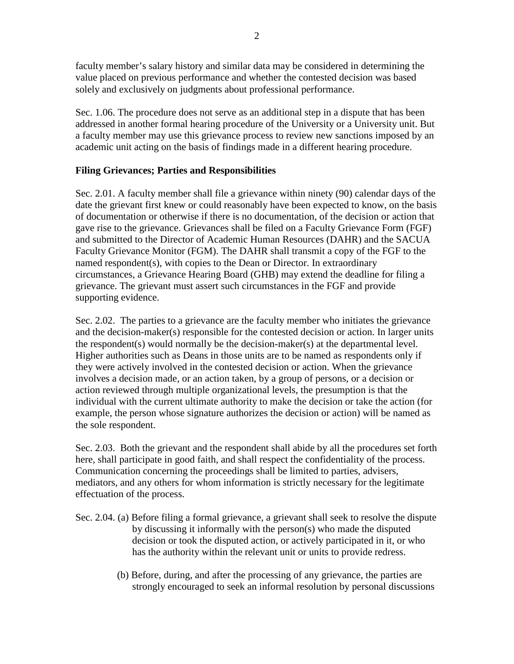faculty member's salary history and similar data may be considered in determining the value placed on previous performance and whether the contested decision was based solely and exclusively on judgments about professional performance.

Sec. 1.06. The procedure does not serve as an additional step in a dispute that has been addressed in another formal hearing procedure of the University or a University unit. But a faculty member may use this grievance process to review new sanctions imposed by an academic unit acting on the basis of findings made in a different hearing procedure.

## **Filing Grievances; Parties and Responsibilities**

Sec. 2.01. A faculty member shall file a grievance within ninety (90) calendar days of the date the grievant first knew or could reasonably have been expected to know, on the basis of documentation or otherwise if there is no documentation, of the decision or action that gave rise to the grievance. Grievances shall be filed on a Faculty Grievance Form (FGF) and submitted to the Director of Academic Human Resources (DAHR) and the SACUA Faculty Grievance Monitor (FGM). The DAHR shall transmit a copy of the FGF to the named respondent(s), with copies to the Dean or Director. In extraordinary circumstances, a Grievance Hearing Board (GHB) may extend the deadline for filing a grievance. The grievant must assert such circumstances in the FGF and provide supporting evidence.

Sec. 2.02. The parties to a grievance are the faculty member who initiates the grievance and the decision-maker(s) responsible for the contested decision or action. In larger units the respondent(s) would normally be the decision-maker(s) at the departmental level. Higher authorities such as Deans in those units are to be named as respondents only if they were actively involved in the contested decision or action. When the grievance involves a decision made, or an action taken, by a group of persons, or a decision or action reviewed through multiple organizational levels, the presumption is that the individual with the current ultimate authority to make the decision or take the action (for example, the person whose signature authorizes the decision or action) will be named as the sole respondent.

Sec. 2.03. Both the grievant and the respondent shall abide by all the procedures set forth here, shall participate in good faith, and shall respect the confidentiality of the process. Communication concerning the proceedings shall be limited to parties, advisers, mediators, and any others for whom information is strictly necessary for the legitimate effectuation of the process.

- Sec. 2.04. (a) Before filing a formal grievance, a grievant shall seek to resolve the dispute by discussing it informally with the person(s) who made the disputed decision or took the disputed action, or actively participated in it, or who has the authority within the relevant unit or units to provide redress.
	- (b) Before, during, and after the processing of any grievance, the parties are strongly encouraged to seek an informal resolution by personal discussions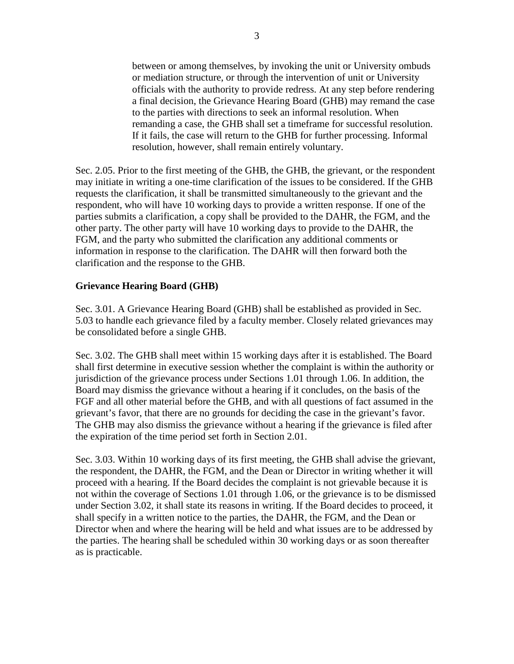between or among themselves, by invoking the unit or University ombuds or mediation structure, or through the intervention of unit or University officials with the authority to provide redress. At any step before rendering a final decision, the Grievance Hearing Board (GHB) may remand the case to the parties with directions to seek an informal resolution. When remanding a case, the GHB shall set a timeframe for successful resolution. If it fails, the case will return to the GHB for further processing. Informal resolution, however, shall remain entirely voluntary.

Sec. 2.05. Prior to the first meeting of the GHB, the GHB, the grievant, or the respondent may initiate in writing a one-time clarification of the issues to be considered. If the GHB requests the clarification, it shall be transmitted simultaneously to the grievant and the respondent, who will have 10 working days to provide a written response. If one of the parties submits a clarification, a copy shall be provided to the DAHR, the FGM, and the other party. The other party will have 10 working days to provide to the DAHR, the FGM, and the party who submitted the clarification any additional comments or information in response to the clarification. The DAHR will then forward both the clarification and the response to the GHB.

## **Grievance Hearing Board (GHB)**

Sec. 3.01. A Grievance Hearing Board (GHB) shall be established as provided in Sec. 5.03 to handle each grievance filed by a faculty member. Closely related grievances may be consolidated before a single GHB.

Sec. 3.02. The GHB shall meet within 15 working days after it is established. The Board shall first determine in executive session whether the complaint is within the authority or jurisdiction of the grievance process under Sections 1.01 through 1.06. In addition, the Board may dismiss the grievance without a hearing if it concludes, on the basis of the FGF and all other material before the GHB, and with all questions of fact assumed in the grievant's favor, that there are no grounds for deciding the case in the grievant's favor. The GHB may also dismiss the grievance without a hearing if the grievance is filed after the expiration of the time period set forth in Section 2.01.

Sec. 3.03. Within 10 working days of its first meeting, the GHB shall advise the grievant, the respondent, the DAHR, the FGM, and the Dean or Director in writing whether it will proceed with a hearing. If the Board decides the complaint is not grievable because it is not within the coverage of Sections 1.01 through 1.06, or the grievance is to be dismissed under Section 3.02, it shall state its reasons in writing. If the Board decides to proceed, it shall specify in a written notice to the parties, the DAHR, the FGM, and the Dean or Director when and where the hearing will be held and what issues are to be addressed by the parties. The hearing shall be scheduled within 30 working days or as soon thereafter as is practicable.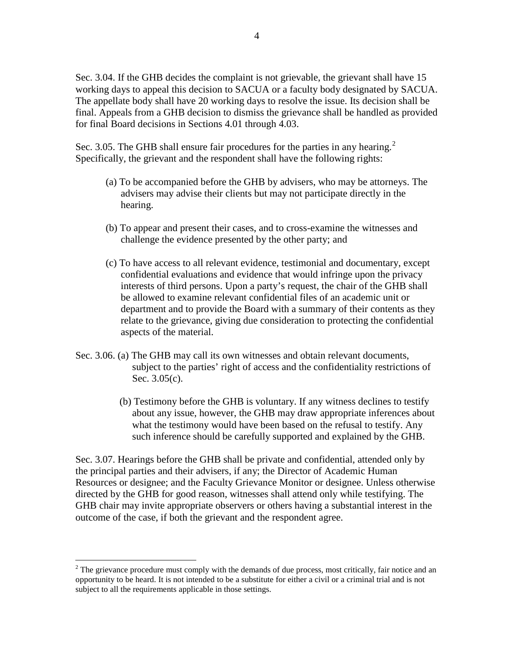Sec. 3.04. If the GHB decides the complaint is not grievable, the grievant shall have 15 working days to appeal this decision to SACUA or a faculty body designated by SACUA. The appellate body shall have 20 working days to resolve the issue. Its decision shall be final. Appeals from a GHB decision to dismiss the grievance shall be handled as provided for final Board decisions in Sections 4.01 through 4.03.

Sec. 3.05. The GHB shall ensure fair procedures for the parties in any hearing.<sup>[2](#page-3-0)</sup> Specifically, the grievant and the respondent shall have the following rights:

- (a) To be accompanied before the GHB by advisers, who may be attorneys. The advisers may advise their clients but may not participate directly in the hearing.
- (b) To appear and present their cases, and to cross-examine the witnesses and challenge the evidence presented by the other party; and
- (c) To have access to all relevant evidence, testimonial and documentary, except confidential evaluations and evidence that would infringe upon the privacy interests of third persons. Upon a party's request, the chair of the GHB shall be allowed to examine relevant confidential files of an academic unit or department and to provide the Board with a summary of their contents as they relate to the grievance, giving due consideration to protecting the confidential aspects of the material.
- Sec. 3.06. (a) The GHB may call its own witnesses and obtain relevant documents, subject to the parties' right of access and the confidentiality restrictions of Sec. 3.05(c).
	- (b) Testimony before the GHB is voluntary. If any witness declines to testify about any issue, however, the GHB may draw appropriate inferences about what the testimony would have been based on the refusal to testify. Any such inference should be carefully supported and explained by the GHB.

Sec. 3.07. Hearings before the GHB shall be private and confidential, attended only by the principal parties and their advisers, if any; the Director of Academic Human Resources or designee; and the Faculty Grievance Monitor or designee. Unless otherwise directed by the GHB for good reason, witnesses shall attend only while testifying. The GHB chair may invite appropriate observers or others having a substantial interest in the outcome of the case, if both the grievant and the respondent agree.

<span id="page-3-0"></span> $2<sup>2</sup>$  The grievance procedure must comply with the demands of due process, most critically, fair notice and an opportunity to be heard. It is not intended to be a substitute for either a civil or a criminal trial and is not subject to all the requirements applicable in those settings.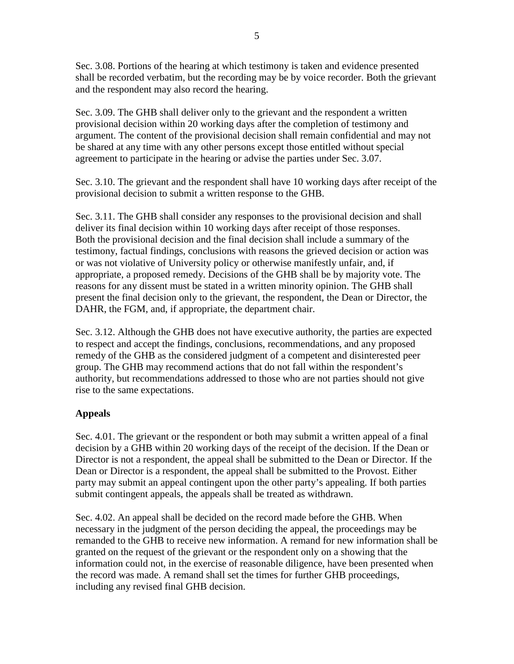5

Sec. 3.08. Portions of the hearing at which testimony is taken and evidence presented shall be recorded verbatim, but the recording may be by voice recorder. Both the grievant and the respondent may also record the hearing.

Sec. 3.09. The GHB shall deliver only to the grievant and the respondent a written provisional decision within 20 working days after the completion of testimony and argument. The content of the provisional decision shall remain confidential and may not be shared at any time with any other persons except those entitled without special agreement to participate in the hearing or advise the parties under Sec. 3.07.

Sec. 3.10. The grievant and the respondent shall have 10 working days after receipt of the provisional decision to submit a written response to the GHB.

Sec. 3.11. The GHB shall consider any responses to the provisional decision and shall deliver its final decision within 10 working days after receipt of those responses. Both the provisional decision and the final decision shall include a summary of the testimony, factual findings, conclusions with reasons the grieved decision or action was or was not violative of University policy or otherwise manifestly unfair, and, if appropriate, a proposed remedy. Decisions of the GHB shall be by majority vote. The reasons for any dissent must be stated in a written minority opinion. The GHB shall present the final decision only to the grievant, the respondent, the Dean or Director, the DAHR, the FGM, and, if appropriate, the department chair.

Sec. 3.12. Although the GHB does not have executive authority, the parties are expected to respect and accept the findings, conclusions, recommendations, and any proposed remedy of the GHB as the considered judgment of a competent and disinterested peer group. The GHB may recommend actions that do not fall within the respondent's authority, but recommendations addressed to those who are not parties should not give rise to the same expectations.

# **Appeals**

Sec. 4.01. The grievant or the respondent or both may submit a written appeal of a final decision by a GHB within 20 working days of the receipt of the decision. If the Dean or Director is not a respondent, the appeal shall be submitted to the Dean or Director. If the Dean or Director is a respondent, the appeal shall be submitted to the Provost. Either party may submit an appeal contingent upon the other party's appealing. If both parties submit contingent appeals, the appeals shall be treated as withdrawn.

Sec. 4.02. An appeal shall be decided on the record made before the GHB. When necessary in the judgment of the person deciding the appeal, the proceedings may be remanded to the GHB to receive new information. A remand for new information shall be granted on the request of the grievant or the respondent only on a showing that the information could not, in the exercise of reasonable diligence, have been presented when the record was made. A remand shall set the times for further GHB proceedings, including any revised final GHB decision.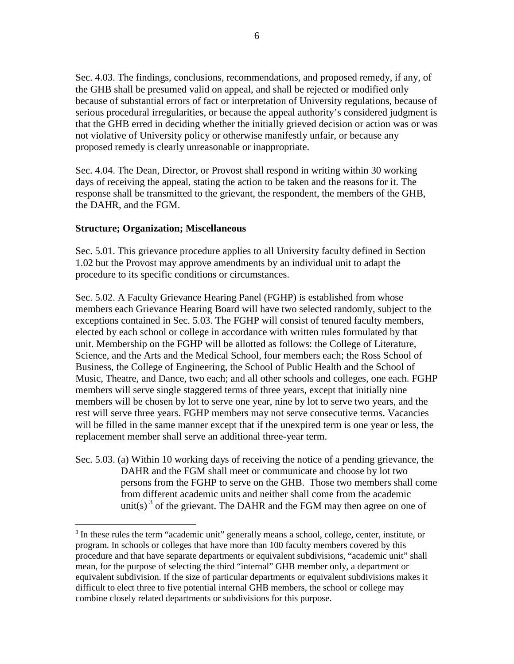Sec. 4.03. The findings, conclusions, recommendations, and proposed remedy, if any, of the GHB shall be presumed valid on appeal, and shall be rejected or modified only because of substantial errors of fact or interpretation of University regulations, because of serious procedural irregularities, or because the appeal authority's considered judgment is that the GHB erred in deciding whether the initially grieved decision or action was or was not violative of University policy or otherwise manifestly unfair, or because any proposed remedy is clearly unreasonable or inappropriate.

Sec. 4.04. The Dean, Director, or Provost shall respond in writing within 30 working days of receiving the appeal, stating the action to be taken and the reasons for it. The response shall be transmitted to the grievant, the respondent, the members of the GHB, the DAHR, and the FGM.

### **Structure; Organization; Miscellaneous**

Sec. 5.01. This grievance procedure applies to all University faculty defined in Section 1.02 but the Provost may approve amendments by an individual unit to adapt the procedure to its specific conditions or circumstances.

Sec. 5.02. A Faculty Grievance Hearing Panel (FGHP) is established from whose members each Grievance Hearing Board will have two selected randomly, subject to the exceptions contained in Sec. 5.03. The FGHP will consist of tenured faculty members, elected by each school or college in accordance with written rules formulated by that unit. Membership on the FGHP will be allotted as follows: the College of Literature, Science, and the Arts and the Medical School, four members each; the Ross School of Business, the College of Engineering, the School of Public Health and the School of Music, Theatre, and Dance, two each; and all other schools and colleges, one each. FGHP members will serve single staggered terms of three years, except that initially nine members will be chosen by lot to serve one year, nine by lot to serve two years, and the rest will serve three years. FGHP members may not serve consecutive terms. Vacancies will be filled in the same manner except that if the unexpired term is one year or less, the replacement member shall serve an additional three-year term.

Sec. 5.03. (a) Within 10 working days of receiving the notice of a pending grievance, the DAHR and the FGM shall meet or communicate and choose by lot two persons from the FGHP to serve on the GHB. Those two members shall come from different academic units and neither shall come from the academic unit(s)<sup>[3](#page-5-0)</sup> of the grievant. The DAHR and the FGM may then agree on one of

<span id="page-5-0"></span><sup>&</sup>lt;sup>3</sup> In these rules the term "academic unit" generally means a school, college, center, institute, or program. In schools or colleges that have more than 100 faculty members covered by this procedure and that have separate departments or equivalent subdivisions, "academic unit" shall mean, for the purpose of selecting the third "internal" GHB member only, a department or equivalent subdivision. If the size of particular departments or equivalent subdivisions makes it difficult to elect three to five potential internal GHB members, the school or college may combine closely related departments or subdivisions for this purpose.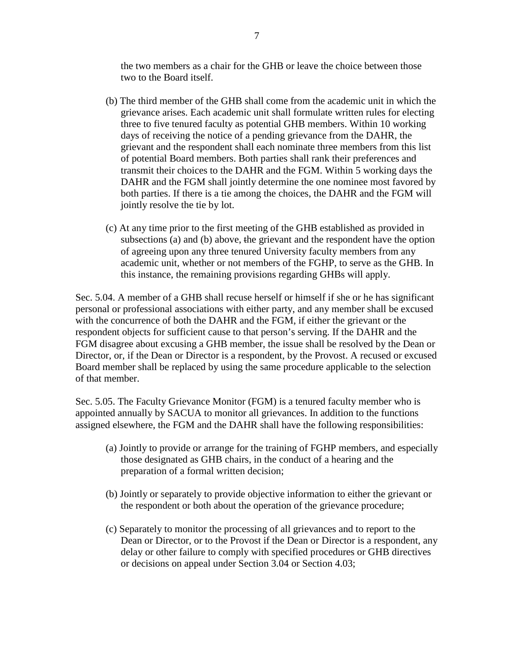the two members as a chair for the GHB or leave the choice between those two to the Board itself.

- (b) The third member of the GHB shall come from the academic unit in which the grievance arises. Each academic unit shall formulate written rules for electing three to five tenured faculty as potential GHB members. Within 10 working days of receiving the notice of a pending grievance from the DAHR, the grievant and the respondent shall each nominate three members from this list of potential Board members. Both parties shall rank their preferences and transmit their choices to the DAHR and the FGM. Within 5 working days the DAHR and the FGM shall jointly determine the one nominee most favored by both parties. If there is a tie among the choices, the DAHR and the FGM will jointly resolve the tie by lot.
- (c) At any time prior to the first meeting of the GHB established as provided in subsections (a) and (b) above, the grievant and the respondent have the option of agreeing upon any three tenured University faculty members from any academic unit, whether or not members of the FGHP, to serve as the GHB. In this instance, the remaining provisions regarding GHBs will apply.

Sec. 5.04. A member of a GHB shall recuse herself or himself if she or he has significant personal or professional associations with either party, and any member shall be excused with the concurrence of both the DAHR and the FGM, if either the grievant or the respondent objects for sufficient cause to that person's serving. If the DAHR and the FGM disagree about excusing a GHB member, the issue shall be resolved by the Dean or Director, or, if the Dean or Director is a respondent, by the Provost. A recused or excused Board member shall be replaced by using the same procedure applicable to the selection of that member.

Sec. 5.05. The Faculty Grievance Monitor (FGM) is a tenured faculty member who is appointed annually by SACUA to monitor all grievances. In addition to the functions assigned elsewhere, the FGM and the DAHR shall have the following responsibilities:

- (a) Jointly to provide or arrange for the training of FGHP members, and especially those designated as GHB chairs, in the conduct of a hearing and the preparation of a formal written decision;
- (b) Jointly or separately to provide objective information to either the grievant or the respondent or both about the operation of the grievance procedure;
- (c) Separately to monitor the processing of all grievances and to report to the Dean or Director, or to the Provost if the Dean or Director is a respondent, any delay or other failure to comply with specified procedures or GHB directives or decisions on appeal under Section 3.04 or Section 4.03;